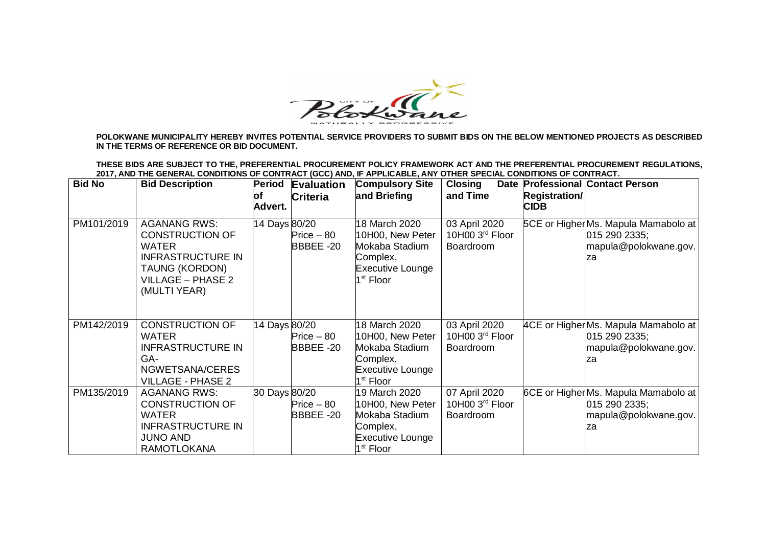

**POLOKWANE MUNICIPALITY HEREBY INVITES POTENTIAL SERVICE PROVIDERS TO SUBMIT BIDS ON THE BELOW MENTIONED PROJECTS AS DESCRIBED IN THE TERMS OF REFERENCE OR BID DOCUMENT.**

**THESE BIDS ARE SUBJECT TO THE, PREFERENTIAL PROCUREMENT POLICY FRAMEWORK ACT AND THE PREFERENTIAL PROCUREMENT REGULATIONS, 2017, AND THE GENERAL CONDITIONS OF CONTRACT (GCC) AND, IF APPLICABLE, ANY OTHER SPECIAL CONDITIONS OF CONTRACT.** 

| <b>Bid No</b> | <b>Bid Description</b>                                                                                                                                  | <b>Period</b>  | <b>Evaluation</b>        | <b>Compulsory Site</b>                                                                                              | <b>Closing</b>                                |                                     | Date Professional Contact Person                                                    |
|---------------|---------------------------------------------------------------------------------------------------------------------------------------------------------|----------------|--------------------------|---------------------------------------------------------------------------------------------------------------------|-----------------------------------------------|-------------------------------------|-------------------------------------------------------------------------------------|
|               |                                                                                                                                                         | lof<br>Advert. | <b>Criteria</b>          | and Briefing                                                                                                        | and Time                                      | <b>Registration/</b><br><b>CIDB</b> |                                                                                     |
| PM101/2019    | <b>AGANANG RWS:</b><br><b>CONSTRUCTION OF</b><br><b>WATER</b><br><b>INFRASTRUCTURE IN</b><br>TAUNG (KORDON)<br><b>VILLAGE - PHASE 2</b><br>(MULTI YEAR) | 14 Days 80/20  | $Price - 80$<br>BBBEE-20 | 18 March 2020<br>10H00, New Peter<br>Mokaba Stadium<br>Complex,<br><b>Executive Lounge</b><br>1 <sup>st</sup> Floor | 03 April 2020<br>10H00 3rd Floor<br>Boardroom |                                     | 5CE or HigherMs. Mapula Mamabolo at<br>015 290 2335;<br>mapula@polokwane.gov.<br>za |
| PM142/2019    | <b>CONSTRUCTION OF</b><br><b>WATER</b><br><b>INFRASTRUCTURE IN</b><br>GA-<br>NGWETSANA/CERES<br><b>VILLAGE - PHASE 2</b>                                | 14 Days 80/20  | $Price - 80$<br>BBBEE-20 | 18 March 2020<br>10H00, New Peter<br>Mokaba Stadium<br>Complex,<br>Executive Lounge<br>1 <sup>st</sup> Floor        | 03 April 2020<br>10H00 3rd Floor<br>Boardroom |                                     | 4CE or HigherMs. Mapula Mamabolo at<br>015 290 2335;<br>mapula@polokwane.gov.<br>za |
| PM135/2019    | <b>AGANANG RWS:</b><br><b>CONSTRUCTION OF</b><br><b>WATER</b><br><b>INFRASTRUCTURE IN</b><br><b>JUNO AND</b><br><b>RAMOTLOKANA</b>                      | 30 Days 80/20  | $Price - 80$<br>BBBEE-20 | 19 March 2020<br>10H00, New Peter<br>Mokaba Stadium<br>Complex,<br><b>Executive Lounge</b><br>1 <sup>st</sup> Floor | 07 April 2020<br>10H00 3rd Floor<br>Boardroom |                                     | 6CE or HigherMs. Mapula Mamabolo at<br>015 290 2335;<br>mapula@polokwane.gov.<br>za |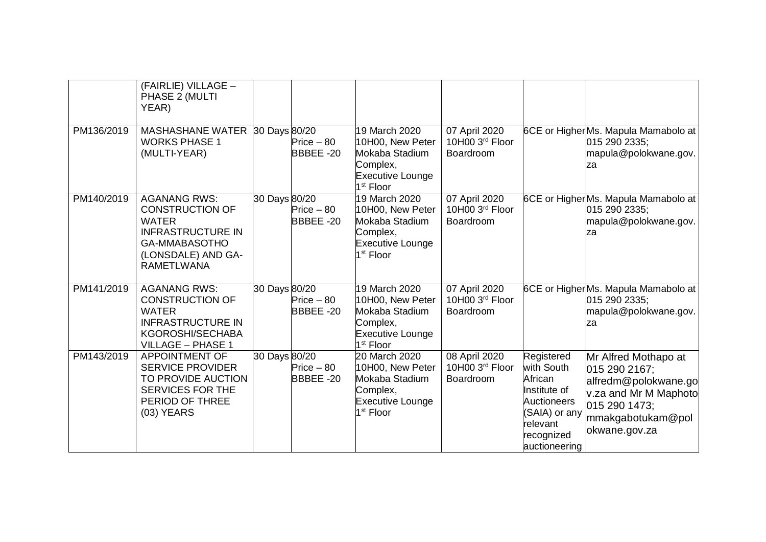|            | (FAIRLIE) VILLAGE -<br>PHASE 2 (MULTI<br>YEAR)                                                                                                        |               |                          |                                                                                                                     |                                               |                                                                                                                                |                                                                                                                                               |
|------------|-------------------------------------------------------------------------------------------------------------------------------------------------------|---------------|--------------------------|---------------------------------------------------------------------------------------------------------------------|-----------------------------------------------|--------------------------------------------------------------------------------------------------------------------------------|-----------------------------------------------------------------------------------------------------------------------------------------------|
| PM136/2019 | MASHASHANE WATER 30 Days 80/20<br><b>WORKS PHASE 1</b><br>(MULTI-YEAR)                                                                                |               | $Price - 80$<br>BBBEE-20 | 19 March 2020<br>10H00, New Peter<br>Mokaba Stadium<br>Complex,<br><b>Executive Lounge</b><br>1 <sup>st</sup> Floor | 07 April 2020<br>10H00 3rd Floor<br>Boardroom |                                                                                                                                | 6CE or HigherMs. Mapula Mamabolo at<br>015 290 2335;<br>mapula@polokwane.gov.<br>za                                                           |
| PM140/2019 | <b>AGANANG RWS:</b><br><b>CONSTRUCTION OF</b><br><b>WATER</b><br><b>INFRASTRUCTURE IN</b><br>GA-MMABASOTHO<br>(LONSDALE) AND GA-<br><b>RAMETLWANA</b> | 30 Days 80/20 | $Price - 80$<br>BBBEE-20 | 19 March 2020<br>10H00, New Peter<br>Mokaba Stadium<br>Complex,<br><b>Executive Lounge</b><br>1 <sup>st</sup> Floor | 07 April 2020<br>10H00 3rd Floor<br>Boardroom |                                                                                                                                | 6CE or HigherMs. Mapula Mamabolo at<br>015 290 2335;<br>mapula@polokwane.gov.<br>za                                                           |
| PM141/2019 | <b>AGANANG RWS:</b><br><b>CONSTRUCTION OF</b><br><b>WATER</b><br><b>INFRASTRUCTURE IN</b><br>KGOROSHI/SECHABA<br><b>VILLAGE - PHASE 1</b>             | 30 Days 80/20 | $Price - 80$<br>BBBEE-20 | 19 March 2020<br>10H00, New Peter<br>Mokaba Stadium<br>Complex,<br><b>Executive Lounge</b><br>1 <sup>st</sup> Floor | 07 April 2020<br>10H00 3rd Floor<br>Boardroom |                                                                                                                                | 6CE or HigherMs. Mapula Mamabolo at<br>015 290 2335:<br>mapula@polokwane.gov.<br>za                                                           |
| PM143/2019 | <b>APPOINTMENT OF</b><br><b>SERVICE PROVIDER</b><br>TO PROVIDE AUCTION<br><b>SERVICES FOR THE</b><br>PERIOD OF THREE<br>$(03)$ YEARS                  | 30 Days 80/20 | $Price - 80$<br>BBBEE-20 | 20 March 2020<br>10H00, New Peter<br>Mokaba Stadium<br>Complex,<br><b>Executive Lounge</b><br>1 <sup>st</sup> Floor | 08 April 2020<br>10H00 3rd Floor<br>Boardroom | Registered<br>with South<br>African<br>Institute of<br>Auctioneers<br>(SAIA) or any<br>relevant<br>recognized<br>auctioneering | Mr Alfred Mothapo at<br>015 290 2167;<br>alfredm@polokwane.go<br>v.za and Mr M Maphoto<br>015 290 1473;<br>mmakgabotukam@pol<br>okwane.gov.za |